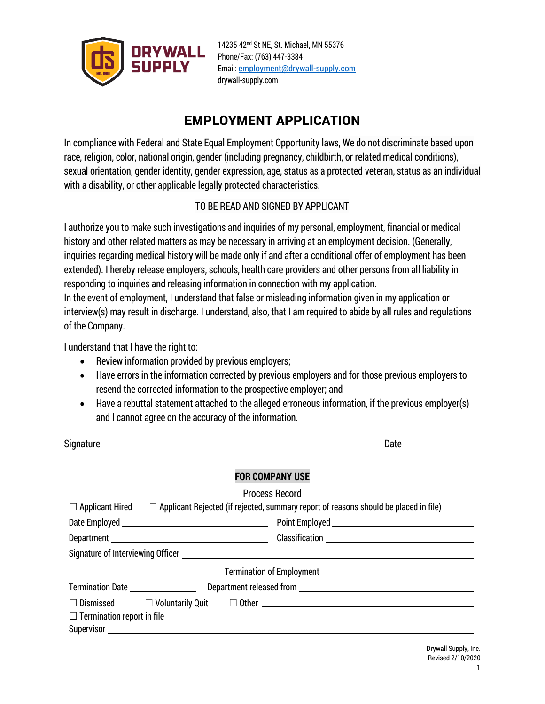

14235 42nd St NE, St. Michael, MN 55376 Phone/Fax: (763) 447-3384 Email: employment@drywall-supply.com drywall-supply.com

# **EMPLOYMENT APPLICATION**

In compliance with Federal and State Equal Employment Opportunity laws, We do not discriminate based upon race, religion, color, national origin, gender (including pregnancy, childbirth, or related medical conditions), sexual orientation, gender identity, gender expression, age, status as a protected veteran, status as an individual with a disability, or other applicable legally protected characteristics.

# TO BE READ AND SIGNED BY APPLICANT

I authorize you to make such investigations and inquiries of my personal, employment, financial or medical history and other related matters as may be necessary in arriving at an employment decision. (Generally, inquiries regarding medical history will be made only if and after a conditional offer of employment has been extended). I hereby release employers, schools, health care providers and other persons from all liability in responding to inquiries and releasing information in connection with my application. In the event of employment, I understand that false or misleading information given in my application or interview(s) may result in discharge. I understand, also, that I am required to abide by all rules and regulations of the Company.

I understand that I have the right to:

- Review information provided by previous employers;
- Have errors in the information corrected by previous employers and for those previous employers to resend the corrected information to the prospective employer; and
- Have a rebuttal statement attached to the alleged erroneous information, if the previous employer(s) and I cannot agree on the accuracy of the information.

Signature Date

#### **FOR COMPANY USE**

|                                                                                                                          | <b>Process Record</b> |  |  |
|--------------------------------------------------------------------------------------------------------------------------|-----------------------|--|--|
| $\Box$ Applicant Hired $\Box$ Applicant Rejected (if rejected, summary report of reasons should be placed in file)       |                       |  |  |
|                                                                                                                          |                       |  |  |
|                                                                                                                          |                       |  |  |
|                                                                                                                          |                       |  |  |
| <b>Termination of Employment</b>                                                                                         |                       |  |  |
| Termination Date _________________                                                                                       |                       |  |  |
| $\Box$ Dismissed $\Box$ Voluntarily Quit $\Box$ Other $\Box$ Other $\Box$ Dismissed<br>$\Box$ Termination report in file |                       |  |  |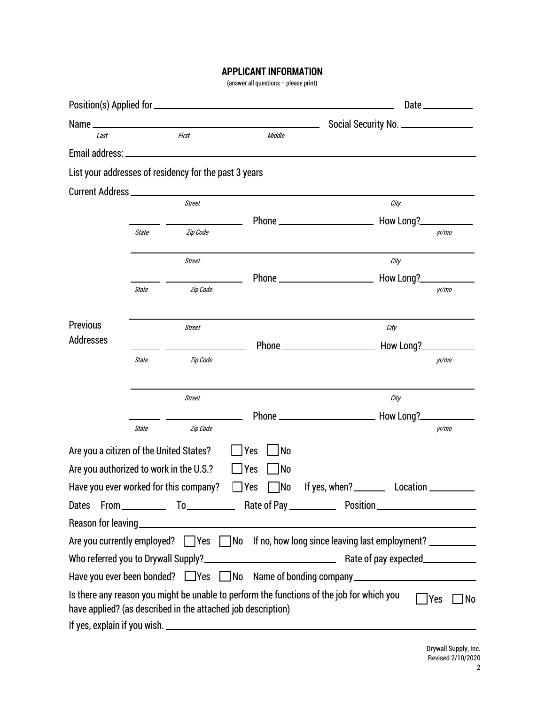## **APPLICANT INFORMATION**

(answer all questions – please print)

|                                         |              |                                                              |                  | Social Security No.                                                                                     |                   |
|-----------------------------------------|--------------|--------------------------------------------------------------|------------------|---------------------------------------------------------------------------------------------------------|-------------------|
| Last                                    |              | First                                                        | Middle           |                                                                                                         |                   |
|                                         |              |                                                              |                  |                                                                                                         |                   |
|                                         |              | List your addresses of residency for the past 3 years        |                  |                                                                                                         |                   |
|                                         |              |                                                              |                  |                                                                                                         |                   |
|                                         |              | <b>Street</b>                                                |                  | City                                                                                                    |                   |
|                                         | <b>State</b> | Zip Code                                                     |                  | How Long?<br>yr/mo                                                                                      |                   |
|                                         |              |                                                              |                  |                                                                                                         |                   |
|                                         |              | <b>Street</b>                                                |                  | City                                                                                                    |                   |
|                                         |              |                                                              |                  |                                                                                                         |                   |
|                                         | <b>State</b> | Zip Code                                                     |                  | yr/mo                                                                                                   |                   |
| <b>Previous</b>                         |              | <b>Street</b>                                                |                  | City                                                                                                    |                   |
| <b>Addresses</b>                        |              |                                                              |                  | How Long?                                                                                               |                   |
|                                         | <b>State</b> | Zip Code                                                     |                  | yr/mo                                                                                                   |                   |
|                                         |              | Street                                                       |                  | City                                                                                                    |                   |
|                                         |              |                                                              |                  |                                                                                                         |                   |
|                                         | <b>State</b> | Zip Code                                                     |                  | yr/mo                                                                                                   |                   |
| Are you a citizen of the United States? |              |                                                              | <b>No</b><br>Yes |                                                                                                         |                   |
| Are you authorized to work in the U.S.? |              |                                                              | Yes<br>No        |                                                                                                         |                   |
| Have you ever worked for this company?  |              |                                                              | Yes<br><b>No</b> | If yes, when?_______<br>Location ________                                                               |                   |
|                                         |              |                                                              |                  | Dates From ___________ To ___________ Rate of Pay ___________ Position ____________________________     |                   |
|                                         |              |                                                              |                  |                                                                                                         |                   |
|                                         |              |                                                              |                  | Are you currently employed? Thes Tho If no, how long since leaving last employment?                     |                   |
|                                         |              |                                                              |                  |                                                                                                         |                   |
|                                         |              |                                                              |                  | Have you ever been bonded? Nes No Name of bonding company                                               |                   |
|                                         |              | have applied? (as described in the attached job description) |                  | Is there any reason you might be unable to perform the functions of the job for which you<br>$\neg$ Yes | $\blacksquare$ No |
|                                         |              |                                                              |                  |                                                                                                         |                   |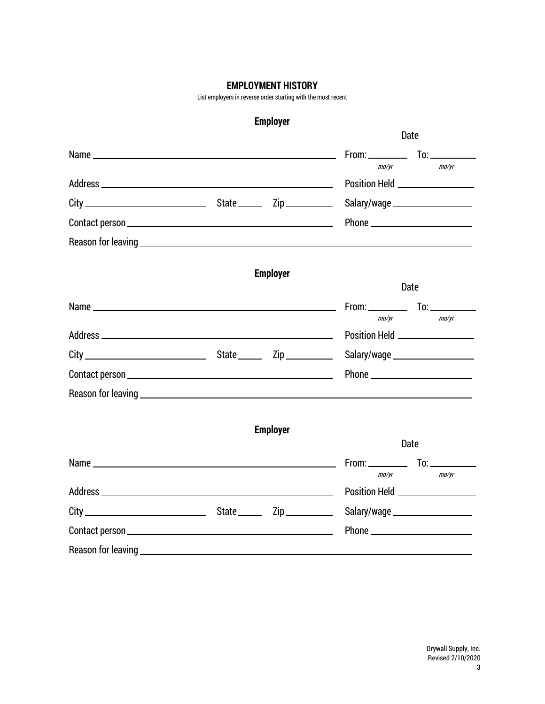### **EMPLOYMENT HISTORY**

List employers in reverse order starting with the most recent

# **Employer**

|                                                                                                                                                                                                                                     |                 | Date                                                                                                           |
|-------------------------------------------------------------------------------------------------------------------------------------------------------------------------------------------------------------------------------------|-----------------|----------------------------------------------------------------------------------------------------------------|
|                                                                                                                                                                                                                                     |                 | mo/yr                                                                                                          |
|                                                                                                                                                                                                                                     |                 | mo/yr<br>Position Held _________________                                                                       |
|                                                                                                                                                                                                                                     |                 |                                                                                                                |
|                                                                                                                                                                                                                                     |                 |                                                                                                                |
|                                                                                                                                                                                                                                     |                 |                                                                                                                |
|                                                                                                                                                                                                                                     | <b>Employer</b> |                                                                                                                |
|                                                                                                                                                                                                                                     |                 | Date                                                                                                           |
|                                                                                                                                                                                                                                     |                 | mo/yr<br>mo/yr                                                                                                 |
|                                                                                                                                                                                                                                     |                 | Position Held _________________                                                                                |
| $City$ $2ip$ $2ip$                                                                                                                                                                                                                  |                 |                                                                                                                |
|                                                                                                                                                                                                                                     |                 |                                                                                                                |
|                                                                                                                                                                                                                                     |                 | Reason for leaving example and the second state of the second state of the second state of the second state of |
|                                                                                                                                                                                                                                     | <b>Employer</b> |                                                                                                                |
|                                                                                                                                                                                                                                     |                 | Date                                                                                                           |
|                                                                                                                                                                                                                                     |                 | mo/yr<br>mo/yr                                                                                                 |
|                                                                                                                                                                                                                                     |                 | Position Held __________________                                                                               |
|                                                                                                                                                                                                                                     |                 |                                                                                                                |
|                                                                                                                                                                                                                                     |                 |                                                                                                                |
| Reason for leaving <b>Example 20</b> and 20 and 20 and 20 and 20 and 20 and 20 and 20 and 20 and 20 and 20 and 20 and 20 and 20 and 20 and 20 and 20 and 20 and 20 and 20 and 20 and 20 and 20 and 20 and 20 and 20 and 20 and 20 a |                 |                                                                                                                |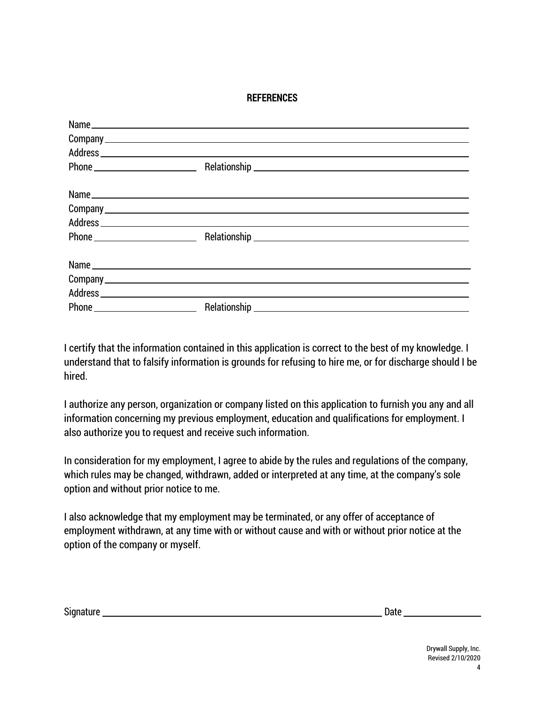#### **REFERENCES**

I certify that the information contained in this application is correct to the best of my knowledge. I understand that to falsify information is grounds for refusing to hire me, or for discharge should I be hired.

I authorize any person, organization or company listed on this application to furnish you any and all information concerning my previous employment, education and qualifications for employment. I also authorize you to request and receive such information.

In consideration for my employment, I agree to abide by the rules and regulations of the company, which rules may be changed, withdrawn, added or interpreted at any time, at the company's sole option and without prior notice to me.

I also acknowledge that my employment may be terminated, or any offer of acceptance of employment withdrawn, at any time with or without cause and with or without prior notice at the option of the company or myself.

| <b>Signature</b> |  |
|------------------|--|
|                  |  |

Drywall Supply, Inc. Revised 2/10/2020 4